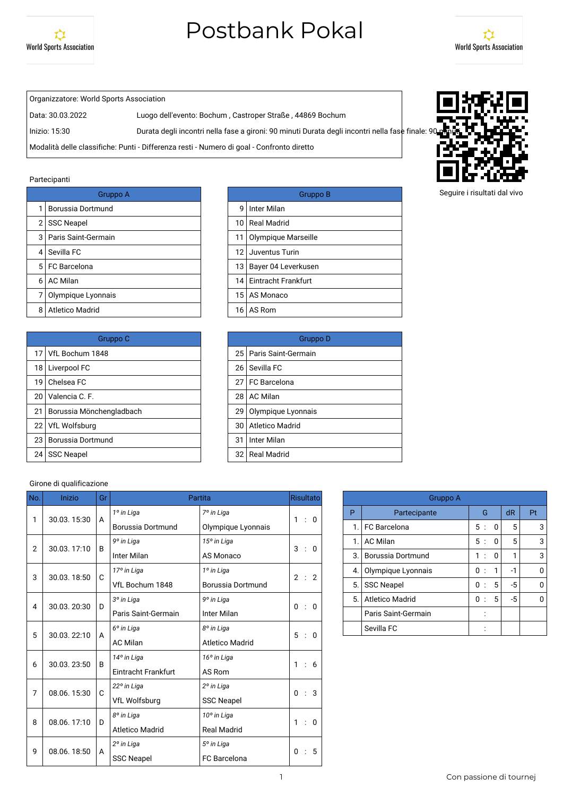



Organizzatore: World Sports Association

Data: 30.03.2022 Luogo dell'evento: Bochum , Castroper Straße , 44869 Bochum

Inizio: 15:30 Durata degli incontri nella fase a gironi: 90 minuti Durata degli incontri nella fase finale: 9

Modalità delle classifiche: Punti - Differenza resti - Numero di goal - Confronto diretto

#### Partecipanti

|   | Gruppo A              |                 | <b>Grupp</b>           |
|---|-----------------------|-----------------|------------------------|
|   | Borussia Dortmund     | q               | Inter Milan            |
| 2 | <b>SSC Neapel</b>     | 10 <sub>1</sub> | Real Madrid            |
| 3 | I Paris Saint-Germain | 11              | Olympique Marseille    |
| 4 | Sevilla FC            | 12              | Juventus Turin         |
|   | 5 FC Barcelona        | 13 I            | Bayer 04 Leverkusen    |
| 6 | <b>AC Milan</b>       |                 | 14 Eintracht Frankfurt |
|   | Olympique Lyonnais    |                 | 15 AS Monaco           |
| 8 | Atletico Madrid       | 16 I            | AS Rom                 |

|    | Gruppo C                 |    | Grupp                    |
|----|--------------------------|----|--------------------------|
|    | 17 VfL Bochum 1848       |    | 25   Paris Saint-Germain |
|    | 18   Liverpool FC        | 26 | Sevilla FC               |
| 19 | Chelsea FC               | 27 | I FC Barcelona           |
| 20 | Valencia C. F.           | 28 | <b>AC Milan</b>          |
| 21 | Borussia Mönchengladbach | 29 | Olympique Lyonnais       |
|    | 22   VfL Wolfsburg       | 30 | Atletico Madrid          |
| 23 | <b>Borussia Dortmund</b> | 31 | Inter Milan              |
| 24 | <b>SSC Neapel</b>        | 32 | <b>Real Madrid</b>       |
|    |                          |    |                          |

| Gruppo A |                 | Gruppo B                 |
|----------|-----------------|--------------------------|
| าund     |                 | 9 Inter Milan            |
|          |                 | 10 Real Madrid           |
| main     |                 | 11 Olympique Marseille   |
|          |                 | 12 Juventus Turin        |
|          |                 | 13   Bayer 04 Leverkusen |
|          |                 | 14 Eintracht Frankfurt   |
| nnais    |                 | 15 AS Monaco             |
|          | 16 <sub>1</sub> | AS Rom                   |
|          |                 |                          |

| Gruppo C    |    | Gruppo D                 |
|-------------|----|--------------------------|
| 348         |    | 25   Paris Saint-Germain |
|             |    | 26 Sevilla FC            |
|             |    | 27 FC Barcelona          |
|             |    | 28 AC Milan              |
| hengladbach |    | 29 Olympique Lyonnais    |
|             |    | 30 Atletico Madrid       |
| าund        | 31 | Inter Milan              |
|             |    | 32 Real Madrid           |

#### Girone di qualificazione

| No.            | Inizio      | Gr |                        | Partita                | Risultato                                 |    | Gruppo A               |
|----------------|-------------|----|------------------------|------------------------|-------------------------------------------|----|------------------------|
| 1              | 30.03.15:30 | A  | 1º in Liga             | 7º in Liga             | 1 : 0                                     | P  | Partecipante           |
|                |             |    | Borussia Dortmund      | Olympique Lyonnais     |                                           | 1. | FC Barcelona           |
| $\overline{2}$ | 30.03.17:10 | B  | 9° in Liga             | 15° in Liga            | 3<br>$\therefore$ 0                       | 1. | <b>AC Milan</b>        |
|                |             |    | Inter Milan            | AS Monaco              |                                           | 3. | Borussia Dortmund      |
| 3              | 30.03.18:50 | C  | 17º in Liga            | 1º in Liga             | 2<br>$\therefore$ 2                       | 4. | Olympique Lyonnais     |
|                |             |    | VfL Bochum 1848        | Borussia Dortmund      |                                           | 5. | <b>SSC Neapel</b>      |
| 4              | 30.03.20:30 | D  | 3º in Liga             | 9° in Liga             | $\mathbf{0}$<br>$\therefore$ 0            | 5. | <b>Atletico Madrid</b> |
|                |             |    | Paris Saint-Germain    | Inter Milan            |                                           |    | Paris Saint-Germain    |
| 5              | 30.03.22:10 | A  | 6° in Liga             | 8° in Liga             | 5 : 0                                     |    | Sevilla FC             |
|                |             |    | <b>AC Milan</b>        | <b>Atletico Madrid</b> |                                           |    |                        |
| 6              | 30.03.23:50 | B  | 14° in Liga            | 16° in Liga            | 1 : 6                                     |    |                        |
|                |             |    | Eintracht Frankfurt    | AS Rom                 |                                           |    |                        |
| 7              | 08.06.15:30 | C  | 22° in Liga            | 2º in Liga             | $\therefore$ 3<br>$\mathbf{0}$            |    |                        |
|                |             |    | VfL Wolfsburg          | <b>SSC Neapel</b>      |                                           |    |                        |
| 8              | 08.06.17:10 | D  | 8° in Liga             | 10° in Liga            | 1 : 0                                     |    |                        |
|                |             |    | <b>Atletico Madrid</b> | <b>Real Madrid</b>     |                                           |    |                        |
| 9              | 08.06.18:50 | A  | 2º in Liga             | 5° in Liga             | 5<br>$\mathbf{0}$<br>$\ddot{\phantom{a}}$ |    |                        |
|                |             |    | <b>SSC Neapel</b>      | <b>FC</b> Barcelona    |                                           |    |                        |

|    | Gruppo A               |                           |   |      |    |
|----|------------------------|---------------------------|---|------|----|
| P  | Partecipante           | G                         |   | dR   | Pt |
| 1. | <b>FC</b> Barcelona    | 5:                        | 0 | 5    | 3  |
| 1. | <b>AC Milan</b>        | 5:                        | O | 5    | 3  |
| 3. | Borussia Dortmund      | 1<br>$\cdot$ :            | 0 |      | 3  |
| 4. | Olympique Lyonnais     | 0<br>$\cdot$ :            | 1 | -1   |    |
| 5. | <b>SSC Neapel</b>      | 0<br>$\ddot{\phantom{0}}$ | 5 | $-5$ |    |
| 5. | <b>Atletico Madrid</b> | 0                         | 5 | -5   |    |
|    | Paris Saint-Germain    |                           |   |      |    |
|    | Sevilla FC             |                           |   |      |    |

Seguire i risultati dal vivo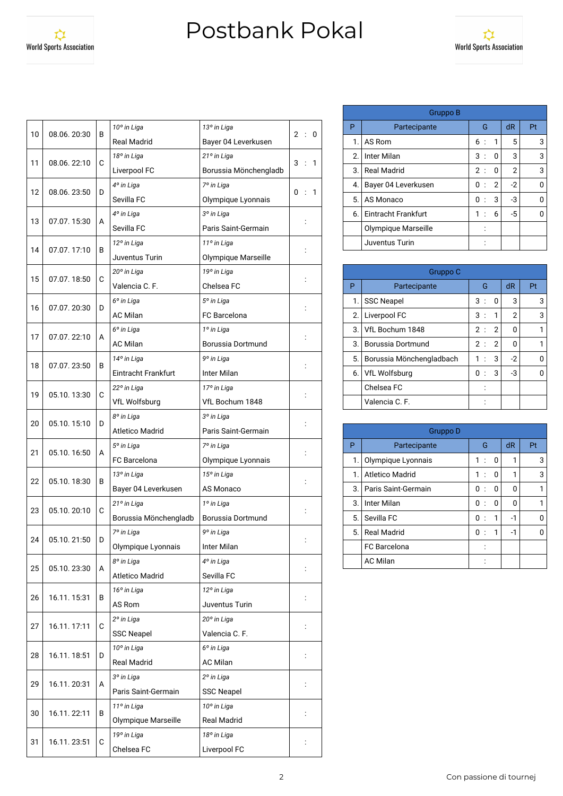

| 10 | 08.06.20:30 | В | 10° in Liga            | 13° in Liga            | 2: |                      | 0 |
|----|-------------|---|------------------------|------------------------|----|----------------------|---|
|    |             |   | <b>Real Madrid</b>     | Bayer 04 Leverkusen    |    |                      |   |
| 11 | 08.06.22:10 | C | 18° in Liga            | 21° in Liga            | 3  | $\cdot$              | 1 |
|    |             |   | Liverpool FC           | Borussia Mönchengladb  |    |                      |   |
| 12 | 08.06.23:50 | D | 4° in Liga             | 7º in Liga             | 0  | $\ddot{\phantom{a}}$ | 1 |
|    |             |   | Sevilla FC             | Olympique Lyonnais     |    |                      |   |
| 13 | 07.07.15:30 | A | 4° in Liga             | 3º in Liga             |    |                      |   |
|    |             |   | Sevilla FC             | Paris Saint-Germain    |    |                      |   |
|    | 07.07.17:10 |   | 12° in Liga            | 11º in Liga            |    |                      |   |
| 14 |             | В | Juventus Turin         | Olympique Marseille    |    |                      |   |
| 15 | 07.07.18:50 | C | 20° in Liga            | 19° in Liga            |    |                      |   |
|    |             |   | Valencia C. F.         | Chelsea FC             |    |                      |   |
|    |             |   | 6 <sup>°</sup> in Liga | 5° in Liga             |    |                      |   |
| 16 | 07.07.20:30 | D | <b>AC Milan</b>        | FC Barcelona           |    |                      |   |
|    |             |   | 6 <sup>°</sup> in Liga | 1º in Liga             |    |                      |   |
| 17 | 07.07.22:10 | A | <b>AC Milan</b>        | Borussia Dortmund      |    |                      |   |
|    |             |   | 14° in Liga            | 9° in Liga             |    |                      |   |
| 18 | 07.07.23:50 | В | Eintracht Frankfurt    | Inter Milan            |    |                      |   |
|    |             |   | 22° in Liga            | 17º in Liga            |    |                      |   |
| 19 | 05.10.13:30 | С | VfL Wolfsburg          | VfL Bochum 1848        |    |                      |   |
|    |             |   | 8° in Liga             | 3º in Liga             |    |                      |   |
| 20 | 05.10.15:10 | D | <b>Atletico Madrid</b> | Paris Saint-Germain    |    |                      |   |
|    |             |   | 5° in Liga             | 7º in Liga             |    |                      |   |
| 21 | 05.10.16:50 | A | FC Barcelona           | Olympique Lyonnais     |    |                      |   |
|    |             |   | 13° in Liga            | 15° in Liga            |    |                      |   |
| 22 | 05.10.18:30 | B | Bayer 04 Leverkusen    | AS Monaco              |    |                      |   |
|    |             |   | 21° in Liga            | 1º in Liga             |    |                      |   |
| 23 | 05.10.20:10 | C | Borussia Mönchengladb  | Borussia Dortmund      |    | $\ddot{\cdot}$       |   |
|    |             |   | 7º in Liga             | 9° in Liga             |    |                      |   |
| 24 | 05.10.21:50 | D | Olympique Lyonnais     | Inter Milan            |    |                      |   |
|    |             |   | 8° in Liga             | 4° in Liga             |    |                      |   |
| 25 | 05.10.23:30 | A | Atletico Madrid        | Sevilla FC             |    |                      |   |
|    |             |   | 16° in Liga            | 12° in Liga            |    |                      |   |
| 26 | 16.11.15:31 | В | AS Rom                 | Juventus Turin         |    |                      |   |
|    |             |   | 2º in Liga             | 20° in Liga            |    |                      |   |
| 27 | 16.11.17:11 | C | <b>SSC Neapel</b>      | Valencia C. F.         |    |                      |   |
|    |             |   | 10° in Liga            | 6 <sup>°</sup> in Liga |    |                      |   |
| 28 | 16.11.18:51 | D | <b>Real Madrid</b>     | <b>AC Milan</b>        |    | $\ddot{\cdot}$       |   |
|    |             |   | 3º in Liga             | 2º in Liga             |    |                      |   |
| 29 | 16.11.20:31 | A | Paris Saint-Germain    | <b>SSC Neapel</b>      |    |                      |   |
|    |             |   | 11º in Liga            | 10° in Liga            |    |                      |   |
| 30 | 16.11.22:11 | В | Olympique Marseille    | <b>Real Madrid</b>     |    |                      |   |
|    |             |   | 19° in Liga            | 18° in Liga            |    |                      |   |
| 31 | 16.11.23:51 | С | Chelsea FC             | Liverpool FC           |    |                      |   |

|    | Gruppo B            |                |              |                |    |
|----|---------------------|----------------|--------------|----------------|----|
| P  | Partecipante        | G              |              | dR             | Pt |
| 1. | AS Rom              | 6 :            | $\mathbf{1}$ | 5              | 3  |
| 2. | Inter Milan         | 3:             | O            | 3              | 3  |
| 3. | <b>Real Madrid</b>  | 2:             | 0            | $\overline{2}$ | 3  |
| 4. | Bayer 04 Leverkusen | 0<br>$\pm$     | 2            | $-2$           | 0  |
| 5. | AS Monaco           | 0<br>$\cdot$ : | 3            | -3             | U  |
| 6. | Eintracht Frankfurt | 1<br>$\cdot$ : | 6            | $-5$           | U  |
|    | Olympique Marseille |                |              |                |    |
|    | Juventus Turin      |                |              |                |    |

|    | Gruppo C                 |                      |                |    |
|----|--------------------------|----------------------|----------------|----|
| P  | Partecipante             | G                    | dR             | Pt |
| 1. | <b>SSC Neapel</b>        | 3:<br>0              | 3              | 3  |
| 2. | Liverpool FC             | 3:<br>1              | $\overline{2}$ | 3  |
| 3. | VfL Bochum 1848          | $\overline{2}$<br>2: | O              |    |
| 3. | Borussia Dortmund        | $\overline{2}$<br>2: | O              |    |
| 5. | Borussia Mönchengladbach | 3<br>1               | $-2$           |    |
| 6. | VfL Wolfsburg            | 3<br>0               | -3             |    |
|    | Chelsea FC               |                      |                |    |
|    | Valencia C. F.           |                      |                |    |

|    | Gruppo D            |                           |   |    |    |
|----|---------------------|---------------------------|---|----|----|
| P  | Partecipante        | G                         |   | dR | Pt |
| 1. | Olympique Lyonnais  | 1:                        | 0 | 1  | 3  |
| 1. | Atletico Madrid     | 1:                        | 0 |    | 3  |
| 3. | Paris Saint-Germain | 0:                        | 0 | 0  |    |
| 3. | Inter Milan         | 0<br>$\ddot{\phantom{0}}$ | O | ŋ  |    |
| 5. | Sevilla FC          | 0<br>$\ddot{\phantom{a}}$ | 1 | -1 |    |
| 5. | <b>Real Madrid</b>  | 0:                        | 1 | -1 |    |
|    | FC Barcelona        |                           |   |    |    |
|    | <b>AC Milan</b>     |                           |   |    |    |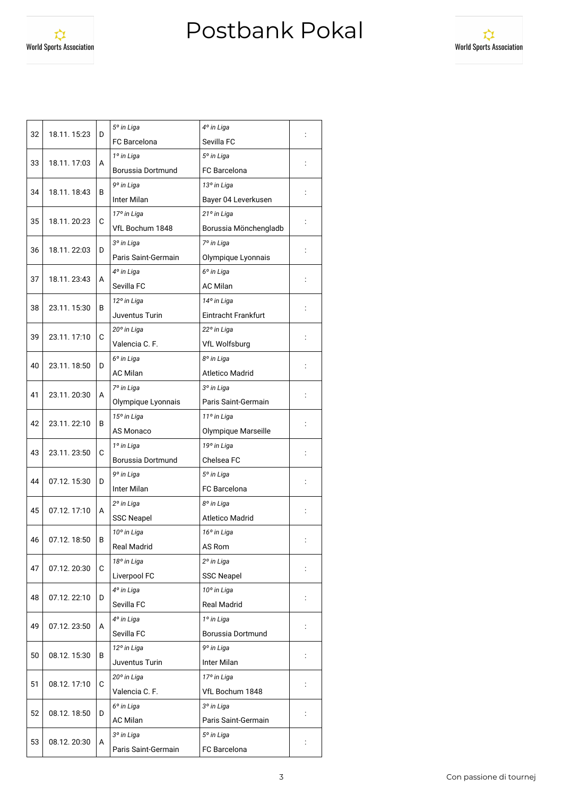World Sports Association



| 32 | 18.11.15:23  | D | 5° in Liga             | 4º in Liga             |  |
|----|--------------|---|------------------------|------------------------|--|
|    |              |   | <b>FC</b> Barcelona    | Sevilla FC             |  |
| 33 |              |   | 1º in Liga             | 5° in Liga             |  |
|    | 18.11.17:03  | A | Borussia Dortmund      | <b>FC</b> Barcelona    |  |
|    |              |   | 9° in Liga             | 13° in Liga            |  |
| 34 | 18.11.18:43  | B | Inter Milan            | Bayer 04 Leverkusen    |  |
|    |              |   | 17º in Liga            | 21° in Liga            |  |
| 35 | 18.11. 20:23 | С | VfL Bochum 1848        | Borussia Mönchengladb  |  |
|    |              |   | 3º in Liga             | 7º in Liga             |  |
| 36 | 18.11.22:03  | D | Paris Saint-Germain    | Olympique Lyonnais     |  |
|    |              |   | 4° in Liga             | 6° in Liga             |  |
| 37 | 18.11.23:43  | A | Sevilla FC             | <b>AC Milan</b>        |  |
|    |              |   | 12° in Liga            | 14° in Liga            |  |
| 38 | 23.11.15:30  | В | Juventus Turin         | Eintracht Frankfurt    |  |
|    |              |   | 20° in Liga            | 22° in Liga            |  |
| 39 | 23.11.17:10  | C | Valencia C. F.         | VfL Wolfsburg          |  |
|    |              |   | 6 <sup>°</sup> in Liga | 8º in Liga             |  |
| 40 | 23.11.18:50  | D | <b>AC Milan</b>        | <b>Atletico Madrid</b> |  |
|    |              |   | 7º in Liga             | 3º in Liga             |  |
| 41 | 23.11.20:30  | A | Olympique Lyonnais     | Paris Saint-Germain    |  |
|    |              |   | 15° in Liga            | 11º in Liga            |  |
| 42 | 23.11.22:10  | В | AS Monaco              | Olympique Marseille    |  |
|    |              |   | 1º in Liga             | 19° in Liga            |  |
| 43 | 23.11.23:50  | C | Borussia Dortmund      | Chelsea FC             |  |
|    |              |   | 9° in Liga             | 5° in Liga             |  |
| 44 | 07.12.15:30  | D | Inter Milan            | FC Barcelona           |  |
|    |              |   | 2º in Liga             | 8° in Liga             |  |
| 45 | 07.12.17:10  | A | <b>SSC Neapel</b>      | <b>Atletico Madrid</b> |  |
|    |              |   | 10° in Liga            | 16° in Liga            |  |
| 46 | 07.12.18:50  | В | Real Madrid            | AS Rom                 |  |
|    |              |   | 18° in Liga            | 2º in Liga             |  |
| 47 | 07.12.20:30  | C | Liverpool FC           | <b>SSC Neapel</b>      |  |
|    |              |   | 4° in Liga             | 10° in Liga            |  |
| 48 | 07.12.22:10  | D | Sevilla FC             | <b>Real Madrid</b>     |  |
|    |              |   | 4° in Liga             | 1º in Liga             |  |
| 49 | 07.12.23:50  | А | Sevilla FC             | Borussia Dortmund      |  |
|    |              |   | 12° in Liga            | 9º in Liga             |  |
| 50 | 08.12.15:30  | В | Juventus Turin         | Inter Milan            |  |
|    |              |   | 20° in Liga            | 17º in Liga            |  |
| 51 | 08.12.17:10  | C | Valencia C. F.         | VfL Bochum 1848        |  |
|    |              |   | 6° in Liga             | 3º in Liga             |  |
| 52 | 08.12.18:50  | D | <b>AC Milan</b>        | Paris Saint-Germain    |  |
|    |              |   | 3º in Liga             | 5° in Liga             |  |
| 53 | 08.12.20:30  | A | Paris Saint-Germain    | FC Barcelona           |  |
|    |              |   |                        |                        |  |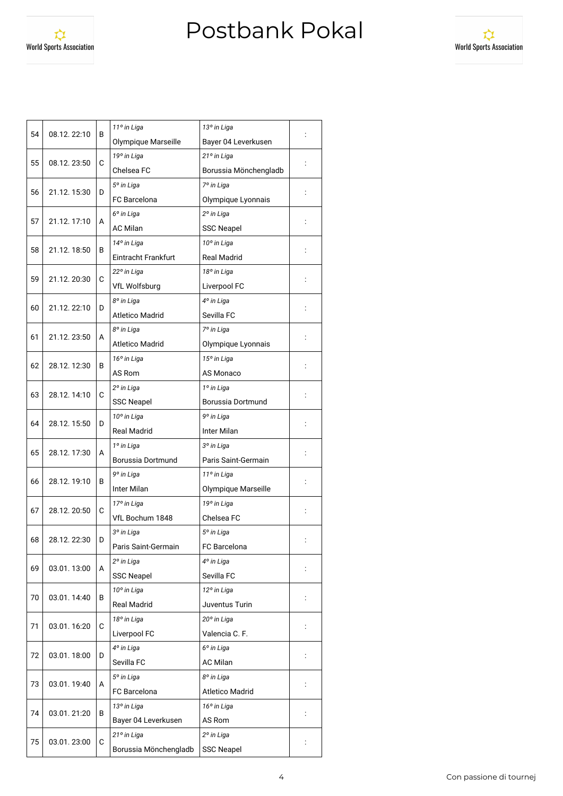World Sports Association



| 54<br>08.12.22:10<br>В<br>Olympique Marseille<br>Bayer 04 Leverkusen<br>19° in Liga<br>21° in Liga<br>55<br>08.12.23:50<br>С<br>Chelsea FC<br>Borussia Mönchengladb<br>7º in Liga<br>5° in Liga<br>56<br>21.12.15:30<br>D<br>FC Barcelona<br>Olympique Lyonnais<br>6 <sup>°</sup> in Liga<br>2º in Liga<br>57<br>21.12.17:10<br>A<br><b>AC Milan</b><br><b>SSC Neapel</b><br>10° in Liga<br>14° in Liga<br>58<br>21.12.18:50<br>в<br>Eintracht Frankfurt<br><b>Real Madrid</b><br>22° in Liga<br>18° in Liga<br>59<br>C<br>21.12. 20:30<br>Liverpool FC<br>VfL Wolfsburg<br>4° in Liga<br>8° in Liga<br>60<br>21.12.22:10<br>D<br>Sevilla FC<br><b>Atletico Madrid</b><br>8° in Liga<br>7º in Liga<br>61<br>21.12. 23:50<br>A<br><b>Atletico Madrid</b><br>Olympique Lyonnais<br>15° in Liga<br>16° in Liga<br>62<br>28.12.12:30<br>В<br>AS Rom<br>AS Monaco<br>2º in Liga<br>1º in Liga<br>63<br>28.12.14:10<br>С<br><b>SSC Neapel</b><br>Borussia Dortmund<br>10° in Liga<br>9° in Liga<br>64<br>28.12.15:50<br>D<br><b>Real Madrid</b><br><b>Inter Milan</b><br>1º in Liga<br>3º in Liga<br>65<br>28.12.17:30<br>A<br>Borussia Dortmund<br>Paris Saint-Germain<br>9° in Liga<br>11º in Liga<br>66<br>28.12.19:10<br>В<br>Inter Milan<br>Olympique Marseille<br>19° in Liga<br>17º in Liga<br>67<br>28.12. 20:50<br>С<br>VfL Bochum 1848<br>Chelsea FC<br>3º in Liga<br>5° in Liga<br>68<br>28.12.22:30<br>D<br>Paris Saint-Germain<br>FC Barcelona<br>2º in Liga<br>4º in Liga<br>69<br>03.01.13:00<br>A<br><b>SSC Neapel</b><br>Sevilla FC |
|------------------------------------------------------------------------------------------------------------------------------------------------------------------------------------------------------------------------------------------------------------------------------------------------------------------------------------------------------------------------------------------------------------------------------------------------------------------------------------------------------------------------------------------------------------------------------------------------------------------------------------------------------------------------------------------------------------------------------------------------------------------------------------------------------------------------------------------------------------------------------------------------------------------------------------------------------------------------------------------------------------------------------------------------------------------------------------------------------------------------------------------------------------------------------------------------------------------------------------------------------------------------------------------------------------------------------------------------------------------------------------------------------------------------------------------------------------------------------------------------------------------------------------------------|
|                                                                                                                                                                                                                                                                                                                                                                                                                                                                                                                                                                                                                                                                                                                                                                                                                                                                                                                                                                                                                                                                                                                                                                                                                                                                                                                                                                                                                                                                                                                                                |
|                                                                                                                                                                                                                                                                                                                                                                                                                                                                                                                                                                                                                                                                                                                                                                                                                                                                                                                                                                                                                                                                                                                                                                                                                                                                                                                                                                                                                                                                                                                                                |
|                                                                                                                                                                                                                                                                                                                                                                                                                                                                                                                                                                                                                                                                                                                                                                                                                                                                                                                                                                                                                                                                                                                                                                                                                                                                                                                                                                                                                                                                                                                                                |
|                                                                                                                                                                                                                                                                                                                                                                                                                                                                                                                                                                                                                                                                                                                                                                                                                                                                                                                                                                                                                                                                                                                                                                                                                                                                                                                                                                                                                                                                                                                                                |
|                                                                                                                                                                                                                                                                                                                                                                                                                                                                                                                                                                                                                                                                                                                                                                                                                                                                                                                                                                                                                                                                                                                                                                                                                                                                                                                                                                                                                                                                                                                                                |
|                                                                                                                                                                                                                                                                                                                                                                                                                                                                                                                                                                                                                                                                                                                                                                                                                                                                                                                                                                                                                                                                                                                                                                                                                                                                                                                                                                                                                                                                                                                                                |
|                                                                                                                                                                                                                                                                                                                                                                                                                                                                                                                                                                                                                                                                                                                                                                                                                                                                                                                                                                                                                                                                                                                                                                                                                                                                                                                                                                                                                                                                                                                                                |
|                                                                                                                                                                                                                                                                                                                                                                                                                                                                                                                                                                                                                                                                                                                                                                                                                                                                                                                                                                                                                                                                                                                                                                                                                                                                                                                                                                                                                                                                                                                                                |
|                                                                                                                                                                                                                                                                                                                                                                                                                                                                                                                                                                                                                                                                                                                                                                                                                                                                                                                                                                                                                                                                                                                                                                                                                                                                                                                                                                                                                                                                                                                                                |
|                                                                                                                                                                                                                                                                                                                                                                                                                                                                                                                                                                                                                                                                                                                                                                                                                                                                                                                                                                                                                                                                                                                                                                                                                                                                                                                                                                                                                                                                                                                                                |
|                                                                                                                                                                                                                                                                                                                                                                                                                                                                                                                                                                                                                                                                                                                                                                                                                                                                                                                                                                                                                                                                                                                                                                                                                                                                                                                                                                                                                                                                                                                                                |
|                                                                                                                                                                                                                                                                                                                                                                                                                                                                                                                                                                                                                                                                                                                                                                                                                                                                                                                                                                                                                                                                                                                                                                                                                                                                                                                                                                                                                                                                                                                                                |
|                                                                                                                                                                                                                                                                                                                                                                                                                                                                                                                                                                                                                                                                                                                                                                                                                                                                                                                                                                                                                                                                                                                                                                                                                                                                                                                                                                                                                                                                                                                                                |
|                                                                                                                                                                                                                                                                                                                                                                                                                                                                                                                                                                                                                                                                                                                                                                                                                                                                                                                                                                                                                                                                                                                                                                                                                                                                                                                                                                                                                                                                                                                                                |
|                                                                                                                                                                                                                                                                                                                                                                                                                                                                                                                                                                                                                                                                                                                                                                                                                                                                                                                                                                                                                                                                                                                                                                                                                                                                                                                                                                                                                                                                                                                                                |
|                                                                                                                                                                                                                                                                                                                                                                                                                                                                                                                                                                                                                                                                                                                                                                                                                                                                                                                                                                                                                                                                                                                                                                                                                                                                                                                                                                                                                                                                                                                                                |
|                                                                                                                                                                                                                                                                                                                                                                                                                                                                                                                                                                                                                                                                                                                                                                                                                                                                                                                                                                                                                                                                                                                                                                                                                                                                                                                                                                                                                                                                                                                                                |
|                                                                                                                                                                                                                                                                                                                                                                                                                                                                                                                                                                                                                                                                                                                                                                                                                                                                                                                                                                                                                                                                                                                                                                                                                                                                                                                                                                                                                                                                                                                                                |
|                                                                                                                                                                                                                                                                                                                                                                                                                                                                                                                                                                                                                                                                                                                                                                                                                                                                                                                                                                                                                                                                                                                                                                                                                                                                                                                                                                                                                                                                                                                                                |
|                                                                                                                                                                                                                                                                                                                                                                                                                                                                                                                                                                                                                                                                                                                                                                                                                                                                                                                                                                                                                                                                                                                                                                                                                                                                                                                                                                                                                                                                                                                                                |
|                                                                                                                                                                                                                                                                                                                                                                                                                                                                                                                                                                                                                                                                                                                                                                                                                                                                                                                                                                                                                                                                                                                                                                                                                                                                                                                                                                                                                                                                                                                                                |
|                                                                                                                                                                                                                                                                                                                                                                                                                                                                                                                                                                                                                                                                                                                                                                                                                                                                                                                                                                                                                                                                                                                                                                                                                                                                                                                                                                                                                                                                                                                                                |
|                                                                                                                                                                                                                                                                                                                                                                                                                                                                                                                                                                                                                                                                                                                                                                                                                                                                                                                                                                                                                                                                                                                                                                                                                                                                                                                                                                                                                                                                                                                                                |
|                                                                                                                                                                                                                                                                                                                                                                                                                                                                                                                                                                                                                                                                                                                                                                                                                                                                                                                                                                                                                                                                                                                                                                                                                                                                                                                                                                                                                                                                                                                                                |
|                                                                                                                                                                                                                                                                                                                                                                                                                                                                                                                                                                                                                                                                                                                                                                                                                                                                                                                                                                                                                                                                                                                                                                                                                                                                                                                                                                                                                                                                                                                                                |
|                                                                                                                                                                                                                                                                                                                                                                                                                                                                                                                                                                                                                                                                                                                                                                                                                                                                                                                                                                                                                                                                                                                                                                                                                                                                                                                                                                                                                                                                                                                                                |
|                                                                                                                                                                                                                                                                                                                                                                                                                                                                                                                                                                                                                                                                                                                                                                                                                                                                                                                                                                                                                                                                                                                                                                                                                                                                                                                                                                                                                                                                                                                                                |
|                                                                                                                                                                                                                                                                                                                                                                                                                                                                                                                                                                                                                                                                                                                                                                                                                                                                                                                                                                                                                                                                                                                                                                                                                                                                                                                                                                                                                                                                                                                                                |
|                                                                                                                                                                                                                                                                                                                                                                                                                                                                                                                                                                                                                                                                                                                                                                                                                                                                                                                                                                                                                                                                                                                                                                                                                                                                                                                                                                                                                                                                                                                                                |
|                                                                                                                                                                                                                                                                                                                                                                                                                                                                                                                                                                                                                                                                                                                                                                                                                                                                                                                                                                                                                                                                                                                                                                                                                                                                                                                                                                                                                                                                                                                                                |
|                                                                                                                                                                                                                                                                                                                                                                                                                                                                                                                                                                                                                                                                                                                                                                                                                                                                                                                                                                                                                                                                                                                                                                                                                                                                                                                                                                                                                                                                                                                                                |
| 10° in Liga<br>12° in Liga                                                                                                                                                                                                                                                                                                                                                                                                                                                                                                                                                                                                                                                                                                                                                                                                                                                                                                                                                                                                                                                                                                                                                                                                                                                                                                                                                                                                                                                                                                                     |
| 70<br>03.01.14:40<br>В<br><b>Real Madrid</b><br>Juventus Turin                                                                                                                                                                                                                                                                                                                                                                                                                                                                                                                                                                                                                                                                                                                                                                                                                                                                                                                                                                                                                                                                                                                                                                                                                                                                                                                                                                                                                                                                                 |
| 18° in Liga<br>20° in Liga                                                                                                                                                                                                                                                                                                                                                                                                                                                                                                                                                                                                                                                                                                                                                                                                                                                                                                                                                                                                                                                                                                                                                                                                                                                                                                                                                                                                                                                                                                                     |
| C<br>71<br>03.01.16:20<br>Liverpool FC<br>Valencia C. F.                                                                                                                                                                                                                                                                                                                                                                                                                                                                                                                                                                                                                                                                                                                                                                                                                                                                                                                                                                                                                                                                                                                                                                                                                                                                                                                                                                                                                                                                                       |
| 4° in Liga<br>6° in Liga                                                                                                                                                                                                                                                                                                                                                                                                                                                                                                                                                                                                                                                                                                                                                                                                                                                                                                                                                                                                                                                                                                                                                                                                                                                                                                                                                                                                                                                                                                                       |
| 72<br>03.01.18:00<br>D<br>Sevilla FC<br><b>AC Milan</b>                                                                                                                                                                                                                                                                                                                                                                                                                                                                                                                                                                                                                                                                                                                                                                                                                                                                                                                                                                                                                                                                                                                                                                                                                                                                                                                                                                                                                                                                                        |
| 5° in Liga<br>8° in Liga                                                                                                                                                                                                                                                                                                                                                                                                                                                                                                                                                                                                                                                                                                                                                                                                                                                                                                                                                                                                                                                                                                                                                                                                                                                                                                                                                                                                                                                                                                                       |
| 73<br>03.01.19:40<br>A<br>FC Barcelona<br><b>Atletico Madrid</b>                                                                                                                                                                                                                                                                                                                                                                                                                                                                                                                                                                                                                                                                                                                                                                                                                                                                                                                                                                                                                                                                                                                                                                                                                                                                                                                                                                                                                                                                               |
| 13° in Liga<br>16° in Liga                                                                                                                                                                                                                                                                                                                                                                                                                                                                                                                                                                                                                                                                                                                                                                                                                                                                                                                                                                                                                                                                                                                                                                                                                                                                                                                                                                                                                                                                                                                     |
| 74<br>03.01.21:20<br>В<br>$\ddot{\phantom{a}}$<br>Bayer 04 Leverkusen<br>AS Rom                                                                                                                                                                                                                                                                                                                                                                                                                                                                                                                                                                                                                                                                                                                                                                                                                                                                                                                                                                                                                                                                                                                                                                                                                                                                                                                                                                                                                                                                |
| 21° in Liga<br>2º in Liga                                                                                                                                                                                                                                                                                                                                                                                                                                                                                                                                                                                                                                                                                                                                                                                                                                                                                                                                                                                                                                                                                                                                                                                                                                                                                                                                                                                                                                                                                                                      |
| 75<br>03.01.23:00<br>C<br>Borussia Mönchengladb<br><b>SSC Neapel</b>                                                                                                                                                                                                                                                                                                                                                                                                                                                                                                                                                                                                                                                                                                                                                                                                                                                                                                                                                                                                                                                                                                                                                                                                                                                                                                                                                                                                                                                                           |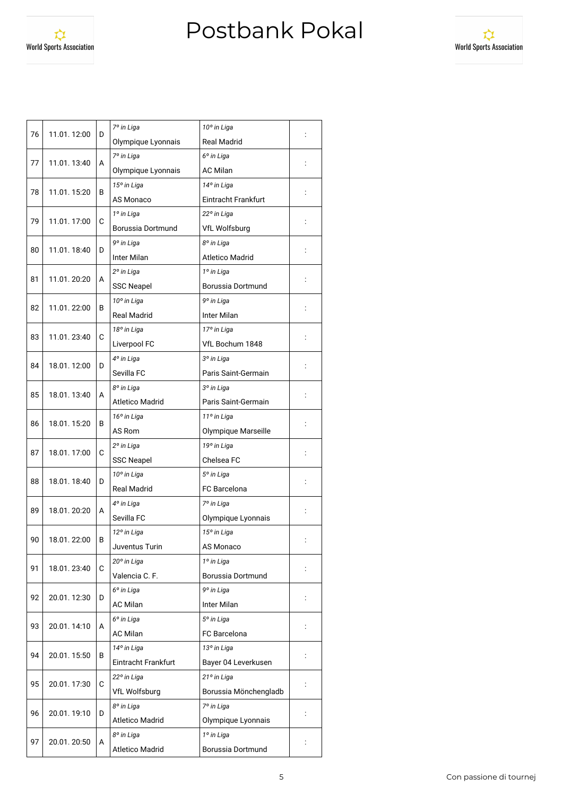World Sports Association



| 76                | 11.01.12:00 | D | 7º in Liga<br>10° in Liga                                              |                       |   |  |
|-------------------|-------------|---|------------------------------------------------------------------------|-----------------------|---|--|
|                   |             |   | Olympique Lyonnais<br><b>Real Madrid</b>                               |                       |   |  |
| 77                |             |   | 7º in Liga<br>6° in Liga                                               |                       |   |  |
|                   | 11.01.13:40 | А | Olympique Lyonnais<br><b>AC Milan</b>                                  |                       |   |  |
| 78                |             | В | 15° in Liga<br>14° in Liga                                             |                       |   |  |
|                   | 11.01.15:20 |   | AS Monaco<br>Eintracht Frankfurt                                       |                       |   |  |
| 79                | 11.01.17:00 | С | 1º in Liga<br>22° in Liga<br>Borussia Dortmund<br><b>VfL Wolfsburg</b> |                       |   |  |
|                   |             |   |                                                                        |                       |   |  |
|                   |             |   | 9° in Liga<br>8° in Liga<br>Inter Milan<br><b>Atletico Madrid</b>      |                       |   |  |
| 80<br>11.01.18:40 |             | D |                                                                        |                       |   |  |
|                   | 11.01.20:20 | A | 2º in Liga<br>1º in Liga                                               |                       |   |  |
| 81                |             |   | <b>SSC Neapel</b>                                                      | Borussia Dortmund     |   |  |
|                   | 11.01.22:00 | В | 10° in Liga                                                            | 9° in Liga            |   |  |
| 82                |             |   | <b>Real Madrid</b>                                                     | <b>Inter Milan</b>    |   |  |
|                   |             |   | 18° in Liga                                                            | 17º in Liga           |   |  |
| 83                | 11.01.23:40 | C | Liverpool FC                                                           | VfL Bochum 1848       |   |  |
|                   |             |   | 4° in Liga                                                             | 3º in Liga            |   |  |
| 84                | 18.01.12:00 | D | Sevilla FC                                                             | Paris Saint-Germain   |   |  |
|                   |             |   | 8° in Liga                                                             | 3º in Liga            |   |  |
| 85                | 18.01.13:40 | A | <b>Atletico Madrid</b>                                                 | Paris Saint-Germain   |   |  |
|                   | 18.01.15:20 | В | 16° in Liga<br>11º in Liga<br>AS Rom<br>Olympique Marseille            |                       |   |  |
| 86                |             |   |                                                                        |                       |   |  |
|                   | 18.01.17:00 | С | 19° in Liga<br>2º in Liga<br><b>SSC Neapel</b><br>Chelsea FC           |                       |   |  |
| 87                |             |   |                                                                        |                       |   |  |
|                   | 18.01.18:40 | D | 10° in Liga<br>5° in Liga                                              |                       |   |  |
| 88                |             |   | <b>Real Madrid</b>                                                     | <b>FC</b> Barcelona   |   |  |
|                   | 18.01.20:20 |   | 4° in Liga<br>7º in Liga                                               |                       |   |  |
| 89                |             | A | Sevilla FC                                                             | Olympique Lyonnais    |   |  |
| 90                | 18.01.22:00 |   | 12° in Liga                                                            | 15° in Liga           |   |  |
|                   |             | В | Juventus Turin                                                         | AS Monaco             |   |  |
|                   |             |   | 20° in Liga                                                            | 1º in Liga            |   |  |
| 91                | 18.01.23:40 | C | Valencia C. F.<br>Borussia Dortmund                                    |                       |   |  |
|                   | 20.01.12:30 |   | 6° in Liga                                                             | 9° in Liga            |   |  |
| 92                |             | D | Inter Milan<br><b>AC Milan</b>                                         |                       |   |  |
|                   | 20.01.14:10 |   | 6 <sup>°</sup> in Liga                                                 | 5° in Liga            |   |  |
| 93                |             | А | <b>AC Milan</b>                                                        | FC Barcelona          |   |  |
|                   | 20.01.15:50 | В | 14° in Liga                                                            | 13° in Liga           |   |  |
| 94                |             |   | Eintracht Frankfurt                                                    | Bayer 04 Leverkusen   | ÷ |  |
|                   | 20.01.17:30 | С | 22° in Liga                                                            | 21° in Liga           |   |  |
| 95                |             |   | VfL Wolfsburg                                                          | Borussia Mönchengladb |   |  |
|                   | 20.01.19:10 | D | 8° in Liga                                                             | 7º in Liga            |   |  |
| 96                |             |   | Atletico Madrid                                                        | Olympique Lyonnais    |   |  |
|                   | 20.01.20:50 |   | 8° in Liga                                                             | 1º in Liga            |   |  |
| 97                |             | A | <b>Atletico Madrid</b>                                                 | Borussia Dortmund     |   |  |
|                   |             |   |                                                                        |                       |   |  |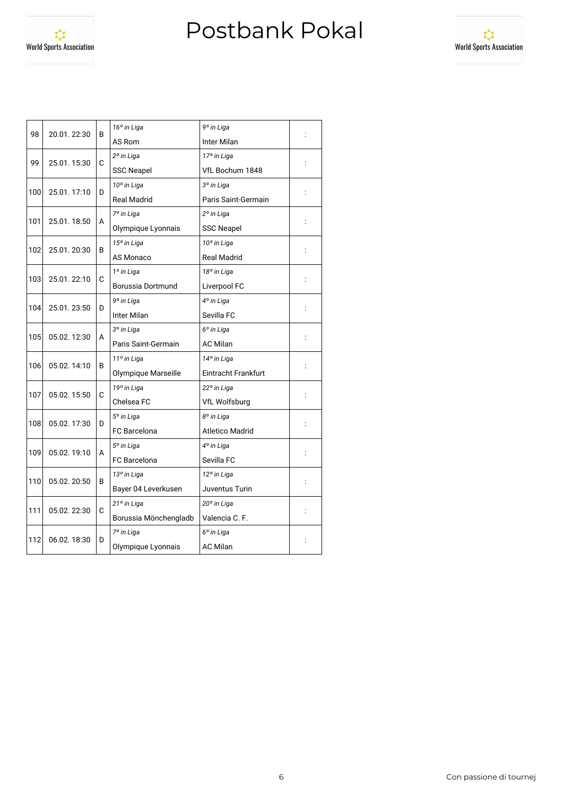

| 98  | 20.01.22:30  | B | 9° in Liga<br>16° in Liga            |                        |  |
|-----|--------------|---|--------------------------------------|------------------------|--|
|     |              |   | <b>Inter Milan</b><br>AS Rom         |                        |  |
| 99  | 25.01.15:30  | С | 2º in Liga                           | 17º in Liga            |  |
|     |              |   | VfL Bochum 1848<br><b>SSC Neapel</b> |                        |  |
| 100 | 25.01.17:10  | D | 10° in Liga                          | 3º in Liga             |  |
|     |              |   | <b>Real Madrid</b>                   | Paris Saint-Germain    |  |
| 101 | 25.01.18:50  | A | 7º in Liga                           | 2º in Liga             |  |
|     |              |   | Olympique Lyonnais                   | <b>SSC Neapel</b>      |  |
| 102 | 25.01.20:30  | В | 15° in Liga                          | 10° in Liga            |  |
|     |              |   | AS Monaco                            | <b>Real Madrid</b>     |  |
| 103 | 25.01.22:10  | C | 1º in Liga                           | 18° in Liga            |  |
|     |              |   | Borussia Dortmund                    | Liverpool FC           |  |
|     | 25.01.23:50  | D | 9° in Liga                           | 4° in Liga             |  |
| 104 |              |   | Inter Milan                          | Sevilla FC             |  |
| 105 | 05.02.12:30  | A | 3º in Liga<br>6 <sup>o</sup> in Liga |                        |  |
|     |              |   | Paris Saint-Germain                  | <b>AC Milan</b>        |  |
| 106 | 05.02.14:10  | B | 11º in Liga<br>14° in Liga           |                        |  |
|     |              |   | Olympique Marseille                  | Eintracht Frankfurt    |  |
| 107 | 05.02.15:50  | C | 19° in Liga<br>22° in Liga           |                        |  |
|     |              |   | Chelsea FC                           | <b>VfL Wolfsburg</b>   |  |
| 108 | 05.02.17:30  | D | 8º in Liga<br>5° in Liga             |                        |  |
|     |              |   | <b>FC</b> Barcelona                  | <b>Atletico Madrid</b> |  |
| 109 | 05.02.19:10  | А | 5° in Liga                           | 4° in Liga             |  |
|     |              |   | <b>FC</b> Barcelona                  | Sevilla FC             |  |
| 110 | 05.02.20:50  | В | 13° in Liga                          | 12° in Liga            |  |
|     |              |   | Bayer 04 Leverkusen                  | Juventus Turin         |  |
|     | 05.02. 22:30 | C | 21° in Liga                          | 20° in Liga            |  |
| 111 |              |   | Borussia Mönchengladb                | Valencia C. F.         |  |
| 112 | 06.02.18:30  | D | 7º in Liga                           | 6° in Liga             |  |
|     |              |   | Olympique Lyonnais                   | <b>AC Milan</b>        |  |